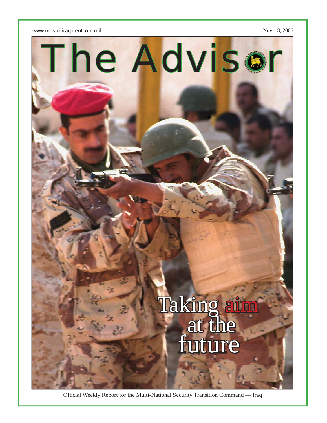



Official Weekly Report for the Multi-National Security Transition Command — Iraq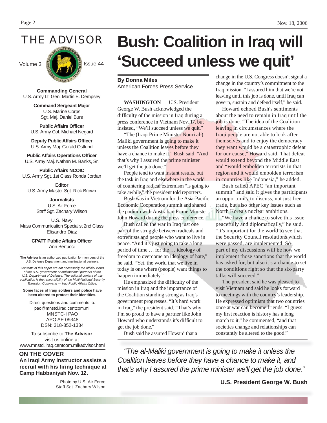THE ADVISOR



**Commanding General** U.S. Army Lt. Gen. Martin E. Dempsey

> **Command Sergeant Major** U.S. Marine Corps Sgt. Maj. Daniel Burs

**Public Affairs Officer** U.S. Army Col. Michael Negard

**Deputy Public Affairs Officer** U.S. Army Maj. Gerald Ostlund

**Public Affairs Operations Officer** U.S. Army Maj. Nathan M. Banks, Sr.

**Public Affairs NCOIC** U.S. Army Sgt. 1st Class Ronda Jordan

**Editor** U.S. Army Master Sgt. Rick Brown

> **Journalists** U.S. Air Force Staff Sgt. Zachary Wilson

U.S. Navy Mass Communication Specialist 2nd Class Elisandro Diaz

> **CPATT Public Affairs Offi cer** Ann Bertucci

**The Advisor** is an authorized publication for members of the U.S. Defense Department and multinational partners.

*Contents of this paper are not necessarily the offi cial views of the U.S. government or multinational partners of the U.S. Department of Defense. The editorial content of this publication is the responsibility of the Multi-National Security Transition Command — Iraq Public Affairs Office.* 

**Some faces of Iraqi soldiers and police have been altered to protect their identities.**

Direct questions and comments to: pao@mnstci.iraq.centcom.mil MNSTC-I PAO APO AE 09348 DSN: 318-852-1334

To subscribe to **The Advisor**, visit us online at: www.mnstci.iraq.centcom.mil/advisor.html

**ON THE COVER An Iraqi Army instructor assists a recruit with his fi ring technique at Camp Habbaniyah Nov. 12.**

> Photo by U.S. Air Force Staff Sgt. Zachary Wilson

# **Bush: Coalition in Iraq will 'Succeed unless we quit'**

**By Donna Miles** American Forces Press Service

**WASHINGTON** — U.S. President George W. Bush acknowledged the difficulty of the mission in Iraq during a press conference in Vietnam Nov. 17, but insisted, "We'll succeed unless we quit."

"The (Iraqi Prime Minister Nouri al-) Maliki government is going to make it unless the Coalition leaves before they have a chance to make it," Bush said. "And that's why I assured the **prime minister** we'll get the job done."

People tend to want instant results, but the task in Iraq and elsewhere in the world of countering radical extremism "is going to take awhile," the president told reporters.

Bush was in Vietnam for the Asia-Pacific Economic Cooperation summit and shared the podium with Australian Prime Minister John Howard during the press conference.

Bush called the war in Iraq just one part of the struggle between radicals and extremists and people who want to live in peace. "And it's just going to take a long period of time … for the … ideology of freedom to overcome an ideology of hate," he said. "Yet, the world that we live in today is one where (people) want things to happen immediately."

He emphasized the difficulty of the mission in Iraq and the importance of the Coalition standing strong as Iraq's government progresses. "It's hard work in Iraq," the president said. "That's why I'm so proud to have a partner like John Howard who understands it's difficult to get the job done."

Bush said he assured Howard that a

change in the U.S. Congress doesn't signal a change in the country's commitment to the Iraq mission. "I assured him that we're not leaving until this job is done, until Iraq can govern, sustain and defend itself," he said.

Howard echoed Bush's sentiments about the need to remain in Iraq until the job is done. "The idea of the Coalition leaving in circumstances where the Iraqi people are not able to look after themselves and to enjoy the democracy they want would be a catastrophic defeat for our cause," Howard said. That defeat would extend beyond the Middle East and "would embolden terrorists in that region and it would embolden terrorism in countries like Indonesia," he added.

Bush called APEC "an important summit" and said it gives the participants an opportunity to discuss, not just free trade, but also other key issues such as North Korea's nuclear ambitions.

"We have a chance to solve this issue peacefully and diplomatically," he said. "It's important for the world to see that the Security Council resolutions which were passed, are implemented. So part of my discussions will be how we implement those sanctions that the world has asked for, but also it's a chance to set the conditions right so that the six-party talks will succeed."

The president said he was pleased to visit Vietnam and said he looks forward to meetings with the country's leadership. He expressed optimism that two countries once at war can become friends. "I guess my first reaction is history has a long march to it," he commented, "and that societies change and relationships can constantly be altered to the good."

*"The al-Maliki government is going to make it unless the Coalition leaves before they have a chance to make it, and that's why I assured the prime minister we'll get the job done."*

**U.S. President George W. Bush**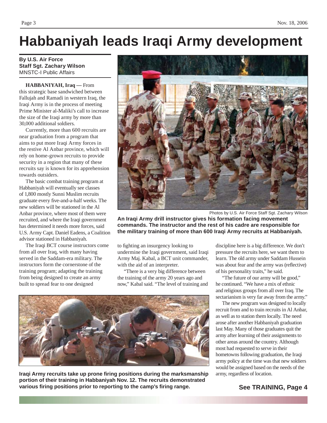## **Habbaniyah leads Iraqi Army development**

**By U.S. Air Force Staff Sgt. Zachary Wilson** MNSTC-I Public Affairs

**HABBANIYAH, Iraq —** From this strategic base sandwiched between Fallujah and Ramadi in western Iraq, the Iraqi Army is in the process of meeting Prime Minister al-Maliki's call to increase the size of the Iraqi army by more than 30,000 additional soldiers.

Currently, more than 600 recruits are near graduation from a program that aims to put more Iraqi Army forces in the restive Al Anbar province, which will rely on home-grown recruits to provide security in a region that many of these recruits say is known for its apprehension towards outsiders.

The basic combat training program at Habbaniyah will eventually see classes of 1,800 mostly Sunni Muslim recruits graduate every five-and-a-half weeks. The new soldiers will be stationed in the Al Anbar province, where most of them were recruited, and where the Iraqi government has determined it needs more forces, said U.S. Army Capt. Daniel Eadens, a Coalition advisor stationed in Habbaniyah.

The Iraqi BCT course instructors come from all over Iraq, with many having served in the Saddam-era military. The instructors form the cornerstone of the training program; adapting the training from being designed to create an army built to spread fear to one designed



Photos by U.S. Air Force Staff Sgt. Zachary Wilson

**An Iraqi Army drill instructor gives his formation facing movement commands. The instructor and the rest of his cadre are responsible for the military training of more than 600 Iraqi Army recruits at Habbaniyah.**

to fighting an insurgency looking to undermine the Iraqi government, said Iraqi Army Maj. Kabal, a BCT unit commander, with the aid of an interpreter.

"There is a very big difference between the training of the army 20 years ago and now," Kabal said. "The level of training and



**Iraqi Army recruits take up prone fi ring positions during the marksmanship portion of their training in Habbaniyah Nov. 12. The recruits demonstrated various fi ring positions prior to reporting to the camp's fi ring range.** 

discipline here is a big difference. We don't pressure the recruits here, we want them to learn. The old army under Saddam Hussein was about fear and the army was (reflective) of his personality traits," he said.

"The future of our army will be good," he continued. "We have a mix of ethnic and religious groups from all over Iraq. The sectarianism is very far away from the army."

The new program was designed to locally recruit from and to train recruits in Al Anbar, as well as to station them locally. The need arose after another Habbaniyah graduation last May. Many of those graduates quit the army after learning of their assignments to other areas around the country. Although most had requested to serve in their hometowns following graduation, the Iraqi army policy at the time was that new soldiers would be assigned based on the needs of the army, regardless of location.

**See TRAINING, Page 4**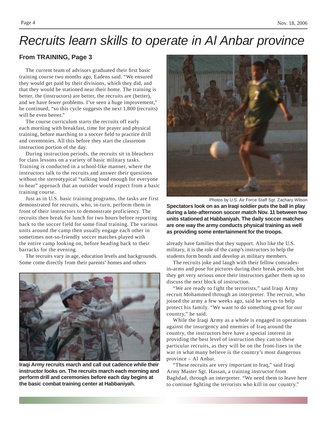### *Recruits learn skills to operate in Al Anbar province*

#### **From TRAINING, Page 3**

The current team of advisors graduated their first basic training course two months ago, Eadens said. "We ensured they would get paid by their divisions, which they did, and that they would be stationed near their home. The training is better, the (instructors) are better, the recruits are (better), and we have fewer problems. I've seen a huge improvement," he continued, "so this cycle suggests the next 1,800 (recruits) will be even better."

The course curriculum starts the recruits off early each morning with breakfast, time for prayer and physical training, before marching to a soccer field to practice drill and ceremonies. All this before they start the classroom instruction portion of the day.

During instruction periods, the recruits sit in bleachers for class lessons on a variety of basic military tasks. Training is conducted in a school-like manner, where the instructors talk to the recruits and answer their questions without the stereotypical "talking loud enough for everyone to hear" approach that an outsider would expect from a basic training course.

Just as in U.S. basic training programs, the tasks are first demonstrated for recruits, who, in-turn, perform them in front of their instructors to demonstrate proficiency. The recruits then break for lunch for two hours before reporting back to the soccer field for some final training. The various units around the camp then usually engage each other in sometimes not-so-friendly soccer matches played with the entire camp looking on, before heading back to their barracks for the evening.

The recruits vary in age, education levels and backgrounds. Some come directly from their parents' homes and others



**Iraqi Army recruits march and call out cadence while their instructor looks on. The recruits march each morning and perform drill and ceremonies before each day begins at the basic combat training center at Habbaniyah.**



Photos by U.S. Air Force Staff Sgt. Zachary Wilson

**Spectators look on as an Iraqi soldier puts the ball in play during a late-afternoon soccer match Nov. 11 between two units stationed at Habbaniyah. The daily soccer matches are one way the army conducts physical training as well as providing some entertainment for the troops.**

already have families that they support. Also like the U.S. military, it is the role of the camp's instructors to help the students form bonds and develop as military members.

The recruits joke and laugh with their fellow comradesin-arms and pose for pictures during their break periods, but they get very serious once their instructors gather them up to discuss the next block of instruction.

"We are ready to fight the terrorists," said Iraqi Army recruit Mohammed through an interpreter. The recruit, who joined the army a few weeks ago, said he serves to help protect his family. "We want to do something great for our country," he said.

While the Iraqi Army as a whole is engaged in operations against the insurgency and enemies of Iraq around the country, the instructors here have a special interest in providing the best level of instruction they can to these particular recruits, as they will be on the front-lines in the war in what many believe is the country's most dangerous province – Al Anbar.

"These recruits are very important to Iraq," said Iraqi Army Master Sgt. Hassan, a training instructor from Baghdad, through an interpreter. "We need them to leave here to continue fighting the terrorists who kill in our country."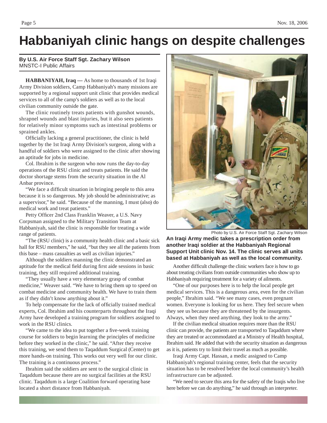### **Habbaniyah clinic hangs on despite challenges**

#### **By U.S. Air Force Staff Sgt. Zachary Wilson** MNSTC-I Public Affairs

**HABBANIYAH, Iraq —** As home to thousands of 1st Iraqi Army Division soldiers, Camp Habbaniyah's many missions are supported by a regional support unit clinic that provides medical services to all of the camp's soldiers as well as to the local civilian community outside the gate.

The clinic routinely treats patients with gunshot wounds, shrapnel wounds and blast injuries, but it also sees patients for relatively minor symptoms such as intestinal problems or sprained ankles.

Officially lacking a general practitioner, the clinic is held together by the 1st Iraqi Army Division's surgeon, along with a handful of soldiers who were assigned to the clinic after showing an aptitude for jobs in medicine.

Col. Ibrahim is the surgeon who now runs the day-to-day operations of the RSU clinic and treats patients. He said the doctor shortage stems from the security situation in the Al Anbar province.

"We face a difficult situation in bringing people to this area because it is so dangerous. My job should be administrative; as a supervisor," he said. "Because of the manning, I must (also) do medical work and treat patients."

Petty Officer 2nd Class Franklin Weaver, a U.S. Navy Corpsman assigned to the Military Transition Team at Habbaniyah, said the clinic is responsible for treating a wide range of patients.

"The (RSU clinic) is a community health clinic and a basic sick hall for RSU members," he said, "but they see all the patients from this base – mass casualties as well as civilian injuries."

Although the soldiers manning the clinic demonstrated an aptitude for the medical field during first aide sessions in basic training, they still required additional training.

"They usually have a very elementary grasp of combat medicine," Weaver said. "We have to bring them up to speed on combat medicine and community health. We have to train them as if they didn't know anything about it."

To help compensate for the lack of officially trained medical experts, Col. Ibrahim and his counterparts throughout the Iraqi Army have developed a training program for soldiers assigned to work in the RSU clinics.

"We came to the idea to put together a five-week training course for soldiers to begin learning the principles of medicine before they worked in the clinic," he said. "After they receive this training, we send them to Taqaddum Surgical (Center) to get more hands-on training. This works out very well for our clinic. The training is a continuous process."

Ibrahim said the soldiers are sent to the surgical clinic in Taqaddum because there are no surgical facilities at the RSU clinic. Taqaddum is a large Coalition forward operating base located a short distance from Habbaniyah.



Photo by U.S. Air Force Staff Sgt. Zachary Wilson

**An Iraqi Army medic takes a prescription order from another Iraqi soldier at the Habbaniyah Regional Support Unit clinic Nov. 14. The clinic serves all units based at Habbaniyah as well as the local community.**

Another difficult challenge the clinic workers face is how to go about treating civilians from outside communities who show up to Habbaniyah requiring treatment for a variety of ailments.

"One of our purposes here is to help the local people get medical services. This is a dangerous area, even for the civilian people," Ibrahim said. "We see many cases, even pregnant women. Everyone is looking for us here. They feel secure when they see us because they are threatened by the insurgents. Always, when they need anything, they look to the army."

If the civilian medical situation requires more than the RSU clinic can provide, the patients are transported to Taqaddum where they are treated or accommodated at a Ministry of Health hospital, Ibrahim said. He added that with the security situation as dangerous as it is, patients try to limit their travel as much as possible.

Iraqi Army Capt. Hassan, a medic assigned to Camp Habbaniyah's regional training center, feels that the security situation has to be resolved before the local community's health infrastructure can be adjusted.

"We need to secure this area for the safety of the Iraqis who live here before we can do anything," he said through an interpreter.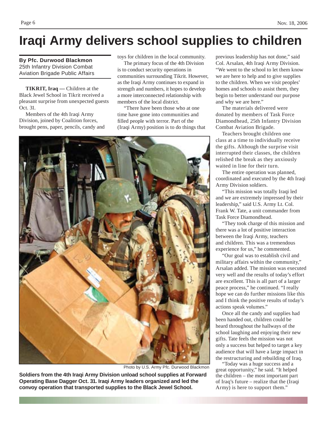## **Iraqi Army delivers school supplies to children**

**By Pfc. Durwood Blackmon** 25th Infantry Division Combat Aviation Brigade Public Affairs

**TIKRIT, Iraq —** Children at the Black Jewel School in Tikrit received a pleasant surprise from unexpected guests Oct. 31.

Members of the 4th Iraqi Army Division, joined by Coalition forces, brought pens, paper, pencils, candy and toys for children in the local community.

The primary focus of the 4th Division is to conduct security operations in communities surrounding Tikrit. However, as the Iraqi Army continues to expand in strength and numbers, it hopes to develop a more interconnected relationship with members of the local district.

"There have been those who at one time have gone into communities and filled people with terror. Part of the (Iraqi Army) position is to do things that



Photo by U.S. Army Pfc. Durwood Blackmon

**Soldiers from the 4th Iraqi Army Division unload school supplies at Forward Operating Base Dagger Oct. 31. Iraqi Army leaders organized and led the convoy operation that transported supplies to the Black Jewel School.**

previous leadership has not done," said Col. Arsalan, 4th Iraqi Army Division. "We went to the school to let them know we are here to help and to give supplies to the children. When we visit peoples' homes and schools to assist them, they begin to better understand our purpose and why we are here."

The materials delivered were donated by members of Task Force Diamondhead, 25th Infantry Division Combat Aviation Brigade.

Teachers brought children one class at a time to individually receive the gifts. Although the surprise visit interrupted their classes, the children relished the break as they anxiously waited in line for their turn.

The entire operation was planned, coordinated and executed by the 4th Iraqi Army Division soldiers.

"This mission was totally Iraqi led and we are extremely impressed by their leadership," said U.S. Army Lt. Col. Frank W. Tate, a unit commander from Task Force Diamondhead.

"They took charge of this mission and there was a lot of positive interaction between the Iraqi Army, teachers and children. This was a tremendous experience for us," he commented.

"Our goal was to establish civil and military affairs within the community," Arsalan added. The mission was executed very well and the results of today's effort are excellent. This is all part of a larger peace process," he continued. "I really hope we can do further missions like this and I think the positive results of today's actions speak volumes."

Once all the candy and supplies had been handed out, children could be heard throughout the hallways of the school laughing and enjoying their new gifts. Tate feels the mission was not only a success but helped to target a key audience that will have a large impact in the restructuring and rebuilding of Iraq.

"Today was a huge success and a great opportunity," he said. "It helped the children – the most important part of Iraq's future – realize that the (Iraqi Army) is here to support them."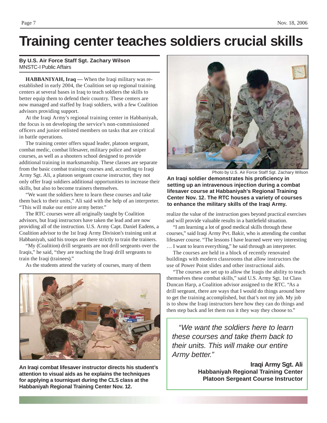## **Training center teaches soldiers crucial skills**

#### **By U.S. Air Force Staff Sgt. Zachary Wilson** MNSTC-I Public Affairs

**HABBANIYAH, Iraq —** When the Iraqi military was reestablished in early 2004, the Coalition set up regional training centers at several bases in Iraq to teach soldiers the skills to better equip them to defend their country. These centers are now managed and staffed by Iraqi soldiers, with a few Coalition advisors providing support.

At the Iraqi Army's regional training center in Habbaniyah, the focus is on developing the service's non-commissioned officers and junior enlisted members on tasks that are critical in battle operations.

The training center offers squad leader, platoon sergeant, combat medic, combat lifesaver, military police and sniper courses, as well as a shooters school designed to provide additional training in marksmanship. These classes are separate from the basic combat training courses and, according to Iraqi Army Sgt. Ali, a platoon sergeant course instructor, they not only offer Iraqi soldiers additional opportunities to increase their skills, but also to become trainers themselves.

"We want the soldiers here to learn these courses and take them back to their units," Ali said with the help of an interpreter. "This will make our entire army better."

The RTC courses were all originally taught by Coalition advisors, but Iraqi instructors have taken the lead and are now providing all of the instruction. U.S. Army Capt. Daniel Eadens, a Coalition advisor to the 1st Iraqi Army Division's training unit at Habbaniyah, said his troops are there strictly to train the trainers.

"My (Coalition) drill sergeants are not drill sergeants over the Iraqis," he said, "they are teaching the Iraqi drill sergeants to train the Iraqi (trainees)."

As the students attend the variety of courses, many of them



**An Iraqi combat lifesaver instructor directs his student's attention to visual aids as he explains the techniques for applying a tourniquet during the CLS class at the Habbaniyah Regional Training Center Nov. 12.**



Photo by U.S. Air Force Staff Sgt. Zachary Wilson

An Iraqi soldier demonstrates his proficiency in **setting up an intravenous injection during a combat lifesaver course at Habbaniyah's Regional Training Center Nov. 12. The RTC houses a variety of courses to enhance the military skills of the Iraqi Army.**

realize the value of the instruction goes beyond practical exercises and will provide valuable results in a battlefield situation.

"I am learning a lot of good medical skills through these courses," said Iraqi Army Pvt. Bakir, who is attending the combat lifesaver course. "The lessons I have learned were very interesting

… I want to learn everything," he said through an interpreter. The courses are held in a block of recently renovated

buildings with modern classrooms that allow instructors the use of Power Point slides and other instructional aids.

"The courses are set up to allow the Iraqis the ability to teach themselves these combat skills," said U.S. Army Sgt. 1st Class Duncan Harp, a Coalition advisor assigned to the RTC. "As a drill sergeant, there are ways that I would do things around here to get the training accomplished, but that's not my job. My job is to show the Iraqi instructors here how they can do things and then step back and let them run it they way they choose to."

*"We want the soldiers here to learn these courses and take them back to their units. This will make our entire Army better."*

> **Iraqi Army Sgt. Ali Habbaniyah Regional Training Center Platoon Sergeant Course Instructor**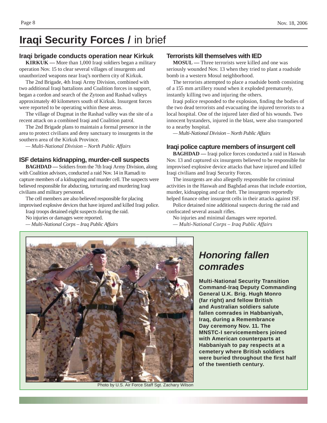### **Iraqi Security Forces /** in brief

#### **Iraqi brigade conducts operation near Kirkuk**

**KIRKUK —** More than 1,000 Iraqi soldiers began a military operation Nov. 15 to clear several villages of insurgents and unauthorized weapons near Iraq's northern city of Kirkuk.

The 2nd Brigade, 4th Iraqi Army Division, combined with two additional Iraqi battalions and Coalition forces in support, began a cordon and search of the Zytoon and Rashad valleys approximately 40 kilometers south of Kirkuk. Insurgent forces were reported to be operating within these areas.

The village of Dugmat in the Rashad valley was the site of a recent attack on a combined Iraqi and Coalition patrol.

The 2nd Brigade plans to maintain a formal presence in the area to protect civilians and deny sanctuary to insurgents in the southern area of the Kirkuk Province.

*— Multi-National Division – North Public Affairs*

#### **ISF detains kidnapping, murder-cell suspects**

**BAGHDAD** — Soldiers from the 7th Iraqi Army Division, along with Coalition advisors, conducted a raid Nov. 14 in Ramadi to capture members of a kidnapping and murder cell. The suspects were believed responsible for abducting, torturing and murdering Iraqi civilians and military personnel.

The cell members are also believed responsible for placing improvised explosive devices that have injured and killed Iraqi police.

Iraqi troops detained eight suspects during the raid.

No injuries or damages were reported.

*— Multi-National Corps – Iraq Public Affairs*

#### **Terrorists kill themselves with IED**

**MOSUL —** Three terrorists were killed and one was seriously wounded Nov. 13 when they tried to plant a roadside bomb in a western Mosul neighborhood.

The terrorists attempted to place a roadside bomb consisting of a 155 mm artillery round when it exploded prematurely, instantly killing two and injuring the others.

Iraqi police responded to the explosion, finding the bodies of the two dead terrorists and evacuating the injured terrorists to a local hospital. One of the injured later died of his wounds. Two innocent bystanders, injured in the blast, were also transported to a nearby hospital.

*— Multi-National Division – North Public Affairs*

#### **Iraqi police capture members of insurgent cell**

**BAGHDAD** — Iraqi police forces conducted a raid in Haswah Nov. 13 and captured six insurgents believed to be responsible for improvised explosive device attacks that have injured and killed Iraqi civilians and Iraqi Security Forces.

The insurgents are also allegedly responsible for criminal activities in the Haswah and Baghdad areas that include extortion, murder, kidnapping and car theft. The insurgents reportedly helped finance other insurgent cells in their attacks against ISF.

Police detained nine additional suspects during the raid and confiscated several assault rifles.

No injuries and minimal damages were reported. *— Multi-National Corps – Iraq Public Affairs*



Photo by U.S. Air Force Staff Sgt. Zachary Wilson

### *Honoring fallen comrades*

**Multi-National Security Transition Command-Iraq Deputy Commanding General U.K. Brig. Hugh Monro (far right) and fellow British and Australian soldiers salute fallen comrades in Habbaniyah, Iraq, during a Remembrance Day ceremony Nov. 11. The MNSTC-I servicemembers joined with American counterparts at Habbaniyah to pay respects at a cemetery where British soldiers were buried throughout the fi rst half of the twentieth century.**